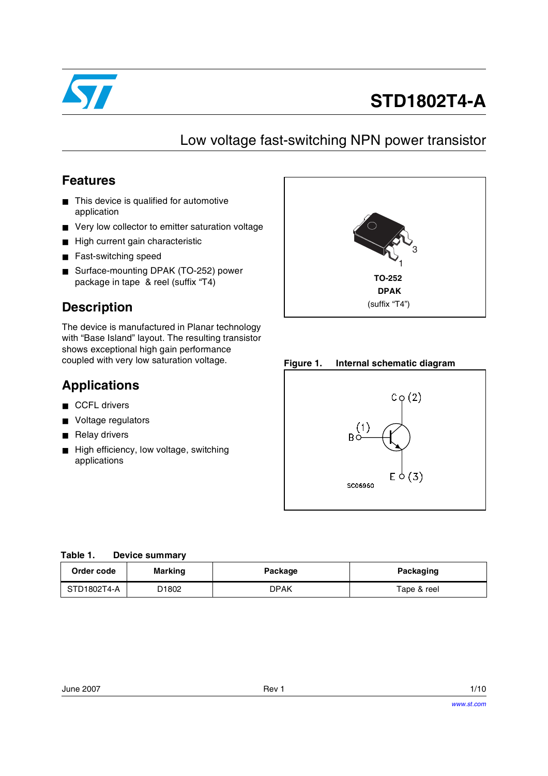

# **STD1802T4-A**

## Low voltage fast-switching NPN power transistor

#### **Features**

- This device is qualified for automotive application
- Very low collector to emitter saturation voltage
- High current gain characteristic
- Fast-switching speed
- Surface-mounting DPAK (TO-252) power package in tape & reel (suffix "T4)

### **Description**

The device is manufactured in Planar technology with "Base Island" layout. The resulting transistor shows exceptional high gain performance coupled with very low saturation voltage.

#### **Applications**

- CCFL drivers
- Voltage regulators
- Relay drivers
- High efficiency, low voltage, switching applications



**Figure 1. Internal schematic diagram**



| Table 1. |  | <b>Device summary</b> |  |
|----------|--|-----------------------|--|
|          |  |                       |  |

| Order code  | <b>Marking</b> | Package | Packaging   |
|-------------|----------------|---------|-------------|
| STD1802T4-A | D1802          | DPAK    | Tape & reel |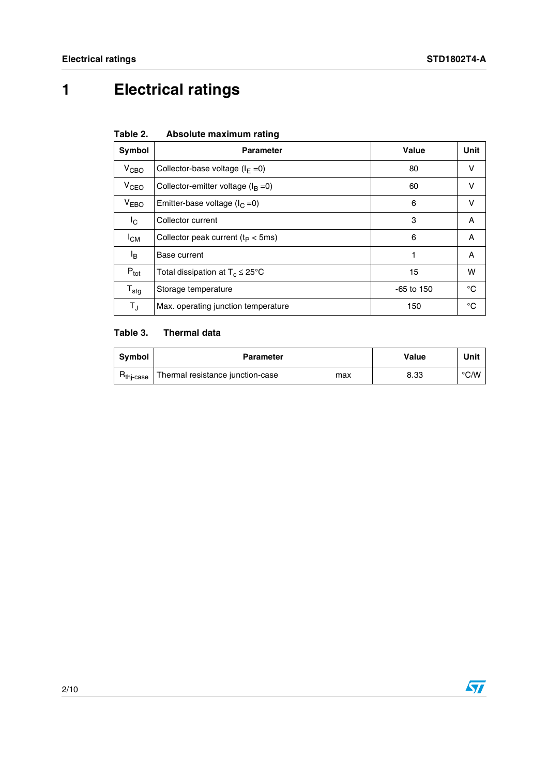# **1 Electrical ratings**

|  | Table 2. |  | Absolute maximum rating |  |
|--|----------|--|-------------------------|--|
|--|----------|--|-------------------------|--|

| Symbol              | <b>Parameter</b>                            | Value        | Unit         |
|---------------------|---------------------------------------------|--------------|--------------|
| V <sub>CBO</sub>    | Collector-base voltage ( $I_F = 0$ )        | 80           | v            |
| $V_{CEO}$           | Collector-emitter voltage ( $I_B = 0$ )     | 60           | v            |
| V <sub>EBO</sub>    | Emitter-base voltage ( $I_C = 0$ )          | 6            | v            |
| <sup>I</sup> c      | Collector current                           | 3            | A            |
| $I_{CM}$            | Collector peak current ( $t_P < 5$ ms)      | 6            | A            |
| l <sub>B</sub>      | Base current                                | 1            | A            |
| $P_{\text{tot}}$    | Total dissipation at $T_c \leq 25^{\circ}C$ | 15           | w            |
| ${\sf T}_{\sf stg}$ | Storage temperature                         | $-65$ to 150 | $^{\circ}$ C |
| TJ                  | Max. operating junction temperature         | 150          | °C           |

#### **Table 3. Thermal data**

| Svmbol                             | <b>Parameter</b>                        | Value | Unit |
|------------------------------------|-----------------------------------------|-------|------|
| $R_{\mathsf{th} \mid \text{case}}$ | Thermal resistance junction-case<br>max | 8.33  | °C/W |

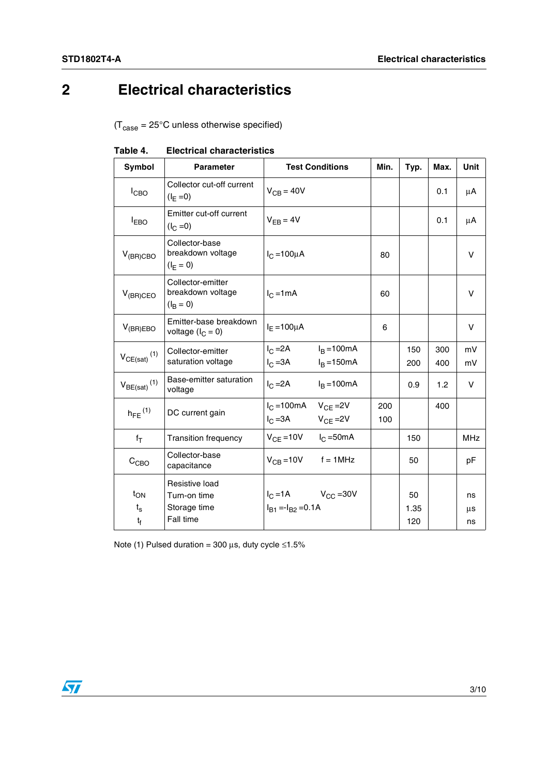# **2 Electrical characteristics**

 $(T_{\text{case}} = 25^{\circ} \text{C}$  unless otherwise specified)

| Symbol                                 | <b>Parameter</b>                                            | <b>Test Conditions</b>                                  |                                | Min.       | Typ.              | Max.       | Unit           |
|----------------------------------------|-------------------------------------------------------------|---------------------------------------------------------|--------------------------------|------------|-------------------|------------|----------------|
| $I_{CBO}$                              | Collector cut-off current<br>$(I_{E} = 0)$                  | $V_{CB} = 40V$                                          |                                |            |                   | 0.1        | μA             |
| $I_{EBO}$                              | Emitter cut-off current<br>$(I_C = 0)$                      | $V_{FR} = 4V$                                           |                                |            |                   | 0.1        | μA             |
| $V_{(BR)CBO}$                          | Collector-base<br>breakdown voltage<br>$(I_F = 0)$          | $I_{C} = 100 \mu A$                                     |                                | 80         |                   |            | v              |
| $V_{(BR)CEO}$                          | Collector-emitter<br>breakdown voltage<br>$(I_B = 0)$       | $I_{C}$ =1mA                                            |                                | 60         |                   |            | v              |
| $V_{(BR)EBO}$                          | Emitter-base breakdown<br>voltage $(l_C = 0)$               | $I_F = 100 \mu A$                                       |                                | 6          |                   |            | v              |
| $V_{CE(sat)}$ <sup>(1)</sup>           | Collector-emitter<br>saturation voltage                     | $I_{\rm C}$ =2A<br>$IC = 3A$                            | $I_B = 100mA$<br>$I_B = 150mA$ |            | 150<br>200        | 300<br>400 | mV<br>mV       |
| $V_{BE(sat)}$ <sup>(1)</sup>           | Base-emitter saturation<br>voltage                          | $I_{C} = 2A$                                            | $I_B = 100mA$                  |            | 0.9               | 1.2        | V              |
| $h_{FE}$ <sup>(1)</sup>                | DC current gain                                             | $I_C = 100mA$ $V_{CF} = 2V$<br>$I_C = 3A$ $V_{CF} = 2V$ |                                | 200<br>100 |                   | 400        |                |
| $f_T$                                  | <b>Transition frequency</b>                                 | $V_{CF} = 10V$ $I_C = 50mA$                             |                                |            | 150               |            | <b>MHz</b>     |
| C <sub>CBO</sub>                       | Collector-base<br>capacitance                               | $V_{CB} = 10V$ f = 1MHz                                 |                                |            | 50                |            | рF             |
| $t_{ON}$<br>$t_{\rm s}$<br>$t_{\rm f}$ | Resistive load<br>Turn-on time<br>Storage time<br>Fall time | $I_C = 1A$ $V_{CC} = 30V$<br>$I_{B1} = -I_{B2} = 0.1A$  |                                |            | 50<br>1.35<br>120 |            | ns<br>μs<br>ns |

**Table 4. Electrical characteristics**

Note (1) Pulsed duration = 300  $\mu$ s, duty cycle ≤1.5%

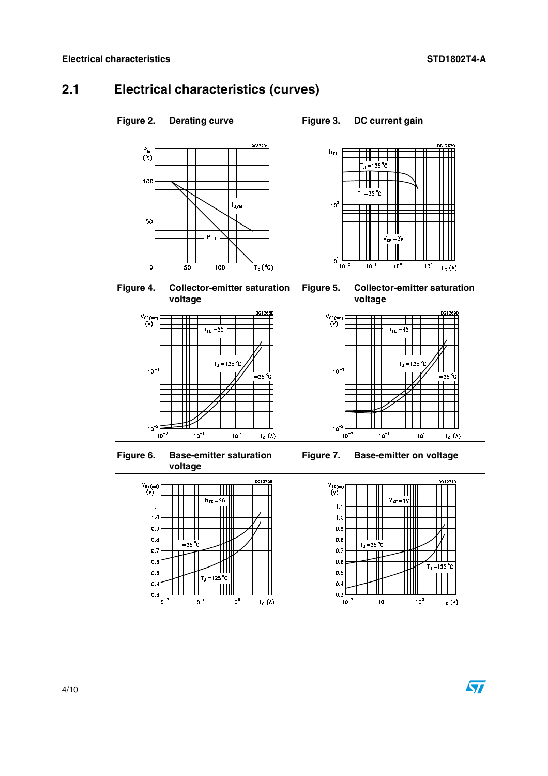#### **2.1 Electrical characteristics (curves)**





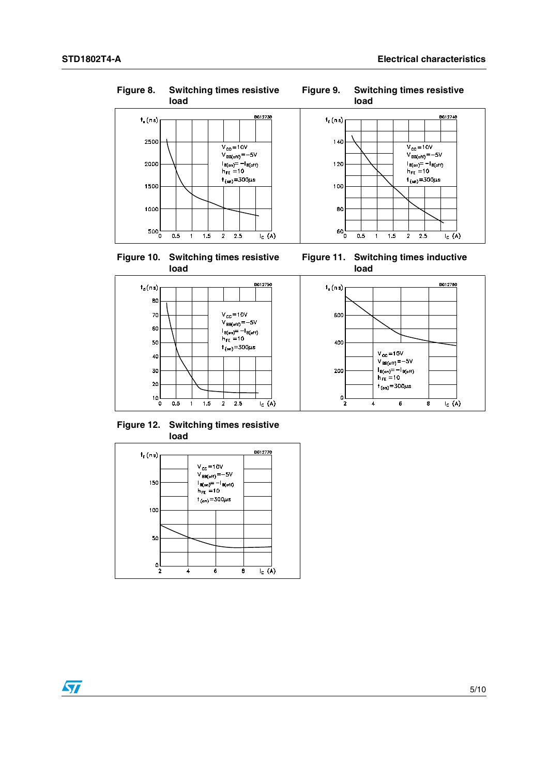$\bm{\varpi}$ 











DG12760

 $\overline{\mathbf{g}}$ 

 $\overline{I_{C}}(A)$ 



**Figure 12. Switching times resistive load**

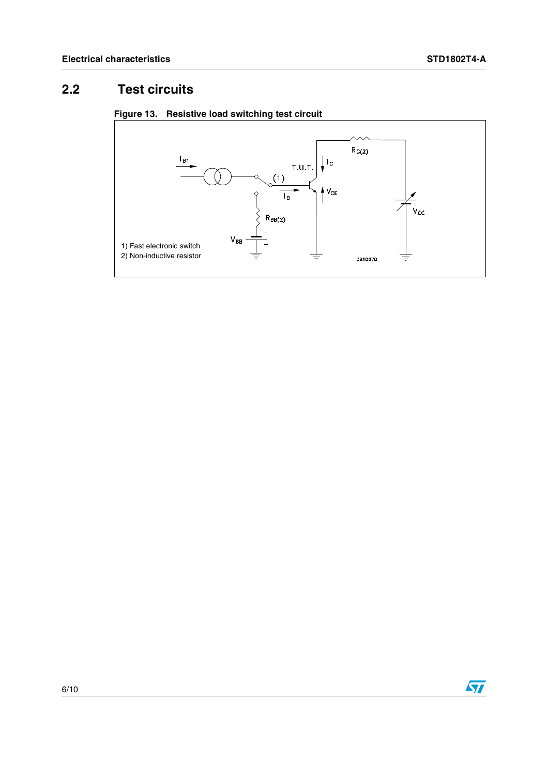## **2.2 Test circuits**





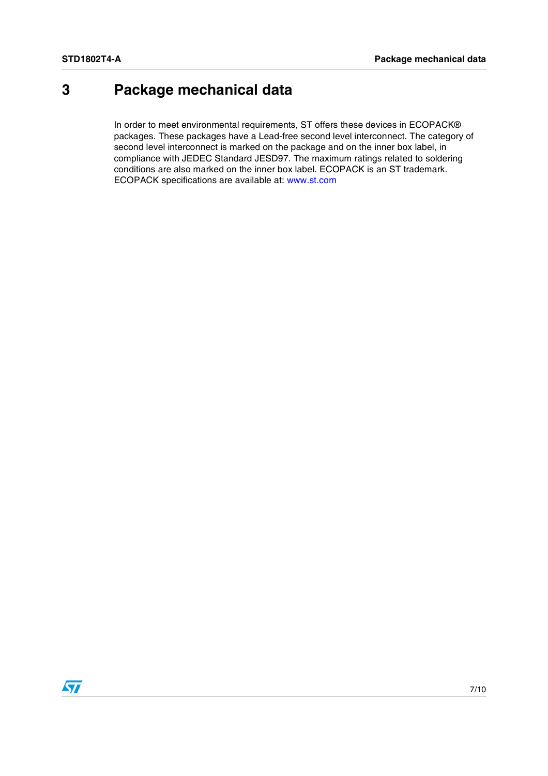# **3 Package mechanical data**

In order to meet environmental requirements, ST offers these devices in ECOPACK® packages. These packages have a Lead-free second level interconnect. The category of second level interconnect is marked on the package and on the inner box label, in compliance with JEDEC Standard JESD97. The maximum ratings related to soldering conditions are also marked on the inner box label. ECOPACK is an ST trademark. ECOPACK specifications are available at: www.st.com

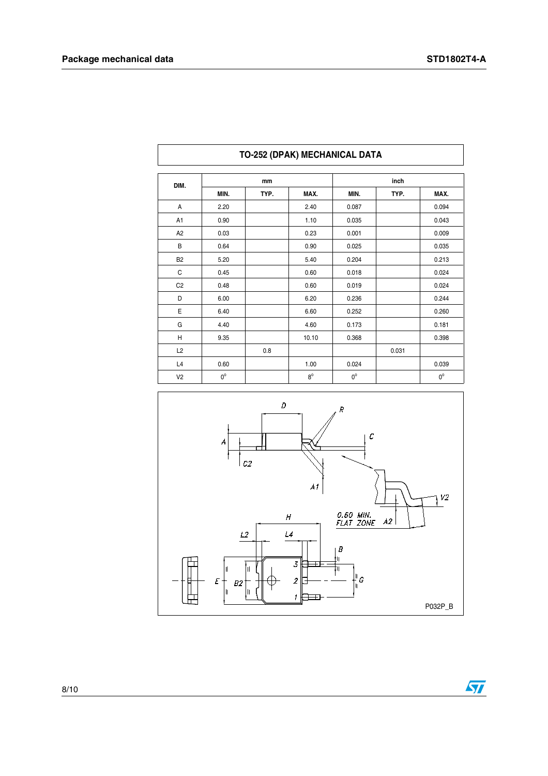| DIM.           | mm          |      |             | inch        |       |             |  |
|----------------|-------------|------|-------------|-------------|-------|-------------|--|
|                | MIN.        | TYP. | MAX.        | MIN.        | TYP.  | MAX.        |  |
| A              | 2.20        |      | 2.40        | 0.087       |       | 0.094       |  |
| A1             | 0.90        |      | 1.10        | 0.035       |       | 0.043       |  |
| A <sub>2</sub> | 0.03        |      | 0.23        | 0.001       |       | 0.009       |  |
| В              | 0.64        |      | 0.90        | 0.025       |       | 0.035       |  |
| <b>B2</b>      | 5.20        |      | 5.40        | 0.204       |       | 0.213       |  |
| C              | 0.45        |      | 0.60        | 0.018       |       | 0.024       |  |
| C <sub>2</sub> | 0.48        |      | 0.60        | 0.019       |       | 0.024       |  |
| D              | 6.00        |      | 6.20        | 0.236       |       | 0.244       |  |
| E              | 6.40        |      | 6.60        | 0.252       |       | 0.260       |  |
| G              | 4.40        |      | 4.60        | 0.173       |       | 0.181       |  |
| Η              | 9.35        |      | 10.10       | 0.368       |       | 0.398       |  |
| L2             |             | 0.8  |             |             | 0.031 |             |  |
| L4             | 0.60        |      | 1.00        | 0.024       |       | 0.039       |  |
| V <sub>2</sub> | $0^{\circ}$ |      | $8^{\circ}$ | $0^{\circ}$ |       | $0^{\circ}$ |  |

#### **TO-252 (DPAK) MECHANICAL DATA**



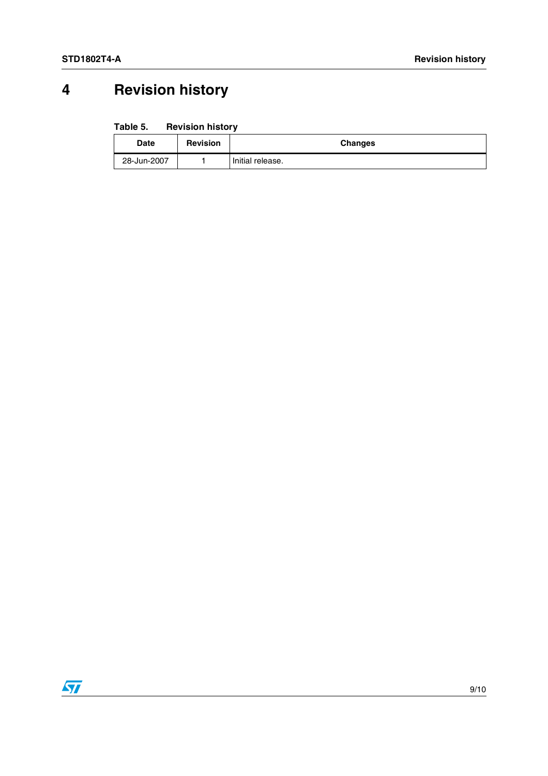# **4 Revision history**

#### Table 5. **Revision history**

| Date        | <b>Revision</b> | Changes          |
|-------------|-----------------|------------------|
| 28-Jun-2007 |                 | Initial release. |